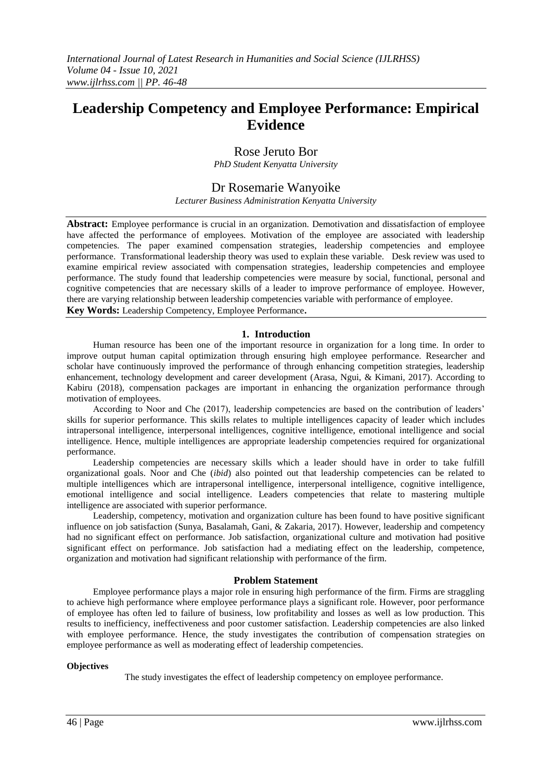# **Leadership Competency and Employee Performance: Empirical Evidence**

# Rose Jeruto Bor

*PhD Student Kenyatta University*

# Dr Rosemarie Wanyoike

*Lecturer Business Administration Kenyatta University*

**Abstract:** Employee performance is crucial in an organization. Demotivation and dissatisfaction of employee have affected the performance of employees. Motivation of the employee are associated with leadership competencies. The paper examined compensation strategies, leadership competencies and employee performance. Transformational leadership theory was used to explain these variable. Desk review was used to examine empirical review associated with compensation strategies, leadership competencies and employee performance. The study found that leadership competencies were measure by social, functional, personal and cognitive competencies that are necessary skills of a leader to improve performance of employee. However, there are varying relationship between leadership competencies variable with performance of employee.

**Key Words:** Leadership Competency, Employee Performance**.**

# **1. Introduction**

Human resource has been one of the important resource in organization for a long time. In order to improve output human capital optimization through ensuring high employee performance. Researcher and scholar have continuously improved the performance of through enhancing competition strategies, leadership enhancement, technology development and career development (Arasa, Ngui, & Kimani, 2017). According to Kabiru (2018), compensation packages are important in enhancing the organization performance through motivation of employees.

According to Noor and Che (2017), leadership competencies are based on the contribution of leaders' skills for superior performance. This skills relates to multiple intelligences capacity of leader which includes intrapersonal intelligence, interpersonal intelligences, cognitive intelligence, emotional intelligence and social intelligence. Hence, multiple intelligences are appropriate leadership competencies required for organizational performance.

Leadership competencies are necessary skills which a leader should have in order to take fulfill organizational goals. Noor and Che (*ibid*) also pointed out that leadership competencies can be related to multiple intelligences which are intrapersonal intelligence, interpersonal intelligence, cognitive intelligence, emotional intelligence and social intelligence. Leaders competencies that relate to mastering multiple intelligence are associated with superior performance.

Leadership, competency, motivation and organization culture has been found to have positive significant influence on job satisfaction (Sunya, Basalamah, Gani, & Zakaria, 2017). However, leadership and competency had no significant effect on performance. Job satisfaction, organizational culture and motivation had positive significant effect on performance. Job satisfaction had a mediating effect on the leadership, competence, organization and motivation had significant relationship with performance of the firm.

#### **Problem Statement**

Employee performance plays a major role in ensuring high performance of the firm. Firms are straggling to achieve high performance where employee performance plays a significant role. However, poor performance of employee has often led to failure of business, low profitability and losses as well as low production. This results to inefficiency, ineffectiveness and poor customer satisfaction. Leadership competencies are also linked with employee performance. Hence, the study investigates the contribution of compensation strategies on employee performance as well as moderating effect of leadership competencies.

#### **Objectives**

The study investigates the effect of leadership competency on employee performance.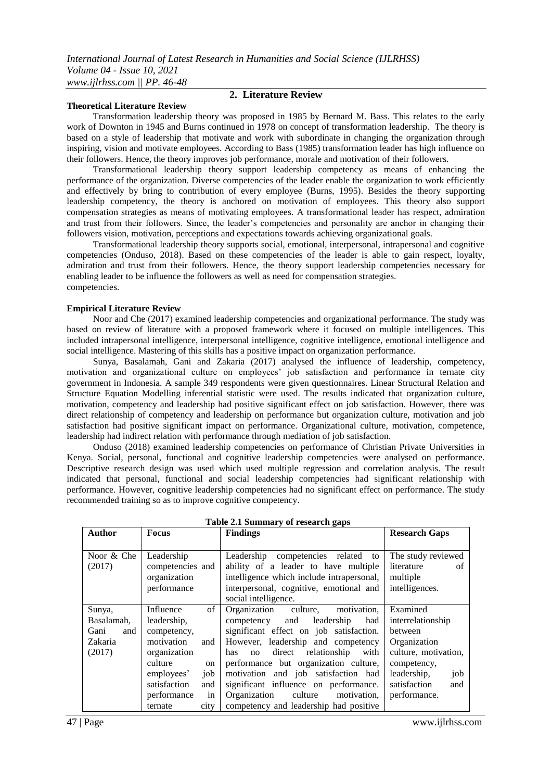#### **Theoretical Literature Review**

# **2. Literature Review**

Transformation leadership theory was proposed in 1985 by Bernard M. Bass. This relates to the early work of Downton in 1945 and Burns continued in 1978 on concept of transformation leadership. The theory is based on a style of leadership that motivate and work with subordinate in changing the organization through inspiring, vision and motivate employees. According to Bass (1985) transformation leader has high influence on their followers. Hence, the theory improves job performance, morale and motivation of their followers.

Transformational leadership theory support leadership competency as means of enhancing the performance of the organization. Diverse competencies of the leader enable the organization to work efficiently and effectively by bring to contribution of every employee (Burns, 1995). Besides the theory supporting leadership competency, the theory is anchored on motivation of employees. This theory also support compensation strategies as means of motivating employees. A transformational leader has respect, admiration and trust from their followers. Since, the leader's competencies and personality are anchor in changing their followers vision, motivation, perceptions and expectations towards achieving organizational goals.

Transformational leadership theory supports social, emotional, interpersonal, intrapersonal and cognitive competencies (Onduso, 2018). Based on these competencies of the leader is able to gain respect, loyalty, admiration and trust from their followers. Hence, the theory support leadership competencies necessary for enabling leader to be influence the followers as well as need for compensation strategies. competencies.

#### **Empirical Literature Review**

Noor and Che (2017) examined leadership competencies and organizational performance. The study was based on review of literature with a proposed framework where it focused on multiple intelligences. This included intrapersonal intelligence, interpersonal intelligence, cognitive intelligence, emotional intelligence and social intelligence. Mastering of this skills has a positive impact on organization performance.

Sunya, Basalamah, Gani and Zakaria (2017) analysed the influence of leadership, competency, motivation and organizational culture on employees' job satisfaction and performance in ternate city government in Indonesia. A sample 349 respondents were given questionnaires. Linear Structural Relation and Structure Equation Modelling inferential statistic were used. The results indicated that organization culture, motivation, competency and leadership had positive significant effect on job satisfaction. However, there was direct relationship of competency and leadership on performance but organization culture, motivation and job satisfaction had positive significant impact on performance. Organizational culture, motivation, competence, leadership had indirect relation with performance through mediation of job satisfaction.

Onduso (2018) examined leadership competencies on performance of Christian Private Universities in Kenya. Social, personal, functional and cognitive leadership competencies were analysed on performance. Descriptive research design was used which used multiple regression and correlation analysis. The result indicated that personal, functional and social leadership competencies had significant relationship with performance. However, cognitive leadership competencies had no significant effect on performance. The study recommended training so as to improve cognitive competency.

| Author      | <b>Focus</b>        | <b>Findings</b>                           | <b>Research Gaps</b> |
|-------------|---------------------|-------------------------------------------|----------------------|
|             |                     |                                           |                      |
| Noor & Che  | Leadership          | Leadership competencies related<br>to     | The study reviewed   |
| (2017)      | competencies and    | ability of a leader to have multiple      | literature<br>of     |
|             | organization        | intelligence which include intrapersonal, | multiple             |
|             | performance         | interpersonal, cognitive, emotional and   | intelligences.       |
|             |                     | social intelligence.                      |                      |
| Sunya,      | of<br>Influence     | culture, motivation,<br>Organization      | Examined             |
| Basalamah,  | leadership,         | competency and<br>leadership<br>had       | interrelationship    |
| Gani<br>and | competency,         | significant effect on job satisfaction.   | between              |
| Zakaria     | motivation<br>and   | However, leadership and competency        | Organization         |
| (2017)      | organization        | direct relationship<br>with<br>has<br>no  | culture, motivation, |
|             | culture<br>on       | performance but organization culture,     | competency,          |
|             | employees'<br>job   | motivation and job satisfaction had       | leadership,<br>job   |
|             | satisfaction<br>and | significant influence on performance.     | satisfaction<br>and  |
|             | in<br>performance   | culture<br>Organization<br>motivation.    | performance.         |
|             | city<br>ternate     | competency and leadership had positive    |                      |

**Table 2.1 Summary of research gaps**

47 | Page www.ijlrhss.com